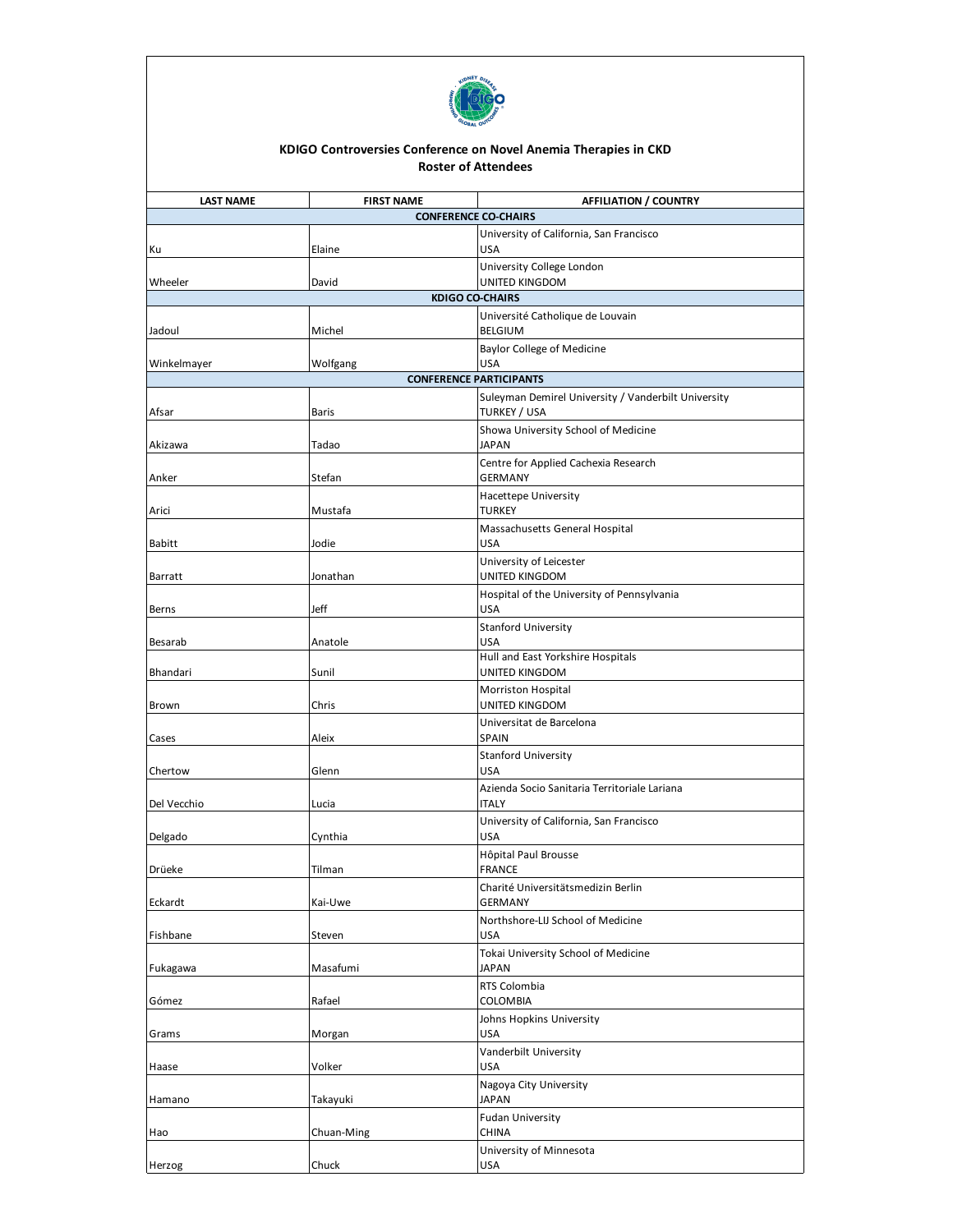

## **KDIGO Controversies Conference on Novel Anemia Therapies in CKD Roster of Attendees**

| <b>LAST NAME</b><br><b>FIRST NAME</b><br><b>AFFILIATION / COUNTRY</b><br><b>CONFERENCE CO-CHAIRS</b> |            |                                                                            |  |  |
|------------------------------------------------------------------------------------------------------|------------|----------------------------------------------------------------------------|--|--|
|                                                                                                      |            | University of California, San Francisco                                    |  |  |
| Ku                                                                                                   | Elaine     | <b>USA</b>                                                                 |  |  |
|                                                                                                      |            | University College London                                                  |  |  |
| Wheeler                                                                                              | David      | UNITED KINGDOM                                                             |  |  |
|                                                                                                      |            | <b>KDIGO CO-CHAIRS</b>                                                     |  |  |
|                                                                                                      |            | Université Catholique de Louvain                                           |  |  |
| Jadoul                                                                                               | Michel     | <b>BELGIUM</b>                                                             |  |  |
|                                                                                                      |            | <b>Baylor College of Medicine</b>                                          |  |  |
| Winkelmayer                                                                                          | Wolfgang   | <b>USA</b>                                                                 |  |  |
| <b>CONFERENCE PARTICIPANTS</b>                                                                       |            |                                                                            |  |  |
| Afsar                                                                                                | Baris      | Suleyman Demirel University / Vanderbilt University<br><b>TURKEY / USA</b> |  |  |
|                                                                                                      |            | Showa University School of Medicine                                        |  |  |
| Akizawa                                                                                              | Tadao      | <b>JAPAN</b>                                                               |  |  |
|                                                                                                      |            | Centre for Applied Cachexia Research                                       |  |  |
| Anker                                                                                                | Stefan     | <b>GERMANY</b>                                                             |  |  |
|                                                                                                      |            | Hacettepe University                                                       |  |  |
| Arici                                                                                                | Mustafa    | <b>TURKEY</b>                                                              |  |  |
|                                                                                                      |            | Massachusetts General Hospital                                             |  |  |
| <b>Babitt</b>                                                                                        | Jodie      | <b>USA</b>                                                                 |  |  |
|                                                                                                      |            | University of Leicester                                                    |  |  |
| Barratt                                                                                              | Jonathan   | UNITED KINGDOM                                                             |  |  |
|                                                                                                      |            | Hospital of the University of Pennsylvania                                 |  |  |
| Berns                                                                                                | Jeff       | <b>USA</b>                                                                 |  |  |
| Besarab                                                                                              | Anatole    | <b>Stanford University</b><br><b>USA</b>                                   |  |  |
|                                                                                                      |            | Hull and East Yorkshire Hospitals                                          |  |  |
| Bhandari                                                                                             | Sunil      | UNITED KINGDOM                                                             |  |  |
|                                                                                                      |            | <b>Morriston Hospital</b>                                                  |  |  |
| Brown                                                                                                | Chris      | UNITED KINGDOM                                                             |  |  |
|                                                                                                      |            | Universitat de Barcelona                                                   |  |  |
| Cases                                                                                                | Aleix      | <b>SPAIN</b>                                                               |  |  |
|                                                                                                      |            | <b>Stanford University</b>                                                 |  |  |
| Chertow                                                                                              | Glenn      | <b>USA</b>                                                                 |  |  |
| Del Vecchio                                                                                          | Lucia      | Azienda Socio Sanitaria Territoriale Lariana<br><b>ITALY</b>               |  |  |
|                                                                                                      |            | University of California, San Francisco                                    |  |  |
| Delgado                                                                                              | Cynthia    | <b>USA</b>                                                                 |  |  |
|                                                                                                      |            | Hôpital Paul Brousse                                                       |  |  |
| Drüeke                                                                                               | Tilman     | <b>FRANCE</b>                                                              |  |  |
|                                                                                                      |            | Charité Universitätsmedizin Berlin                                         |  |  |
| Eckardt                                                                                              | Kai-Uwe    | <b>GERMANY</b>                                                             |  |  |
|                                                                                                      |            | Northshore-LIJ School of Medicine                                          |  |  |
| Fishbane                                                                                             | Steven     | <b>USA</b>                                                                 |  |  |
|                                                                                                      |            | Tokai University School of Medicine                                        |  |  |
| Fukagawa                                                                                             | Masafumi   | JAPAN                                                                      |  |  |
| Gómez                                                                                                | Rafael     | RTS Colombia<br>COLOMBIA                                                   |  |  |
|                                                                                                      |            | Johns Hopkins University                                                   |  |  |
| Grams                                                                                                | Morgan     | <b>USA</b>                                                                 |  |  |
|                                                                                                      |            | Vanderbilt University                                                      |  |  |
| Haase                                                                                                | Volker     | <b>USA</b>                                                                 |  |  |
|                                                                                                      |            | Nagoya City University                                                     |  |  |
| Hamano                                                                                               | Takayuki   | <b>JAPAN</b>                                                               |  |  |
|                                                                                                      |            | <b>Fudan University</b>                                                    |  |  |
| Hao                                                                                                  | Chuan-Ming | CHINA                                                                      |  |  |
|                                                                                                      |            | University of Minnesota                                                    |  |  |
| Herzog                                                                                               | Chuck      | <b>USA</b>                                                                 |  |  |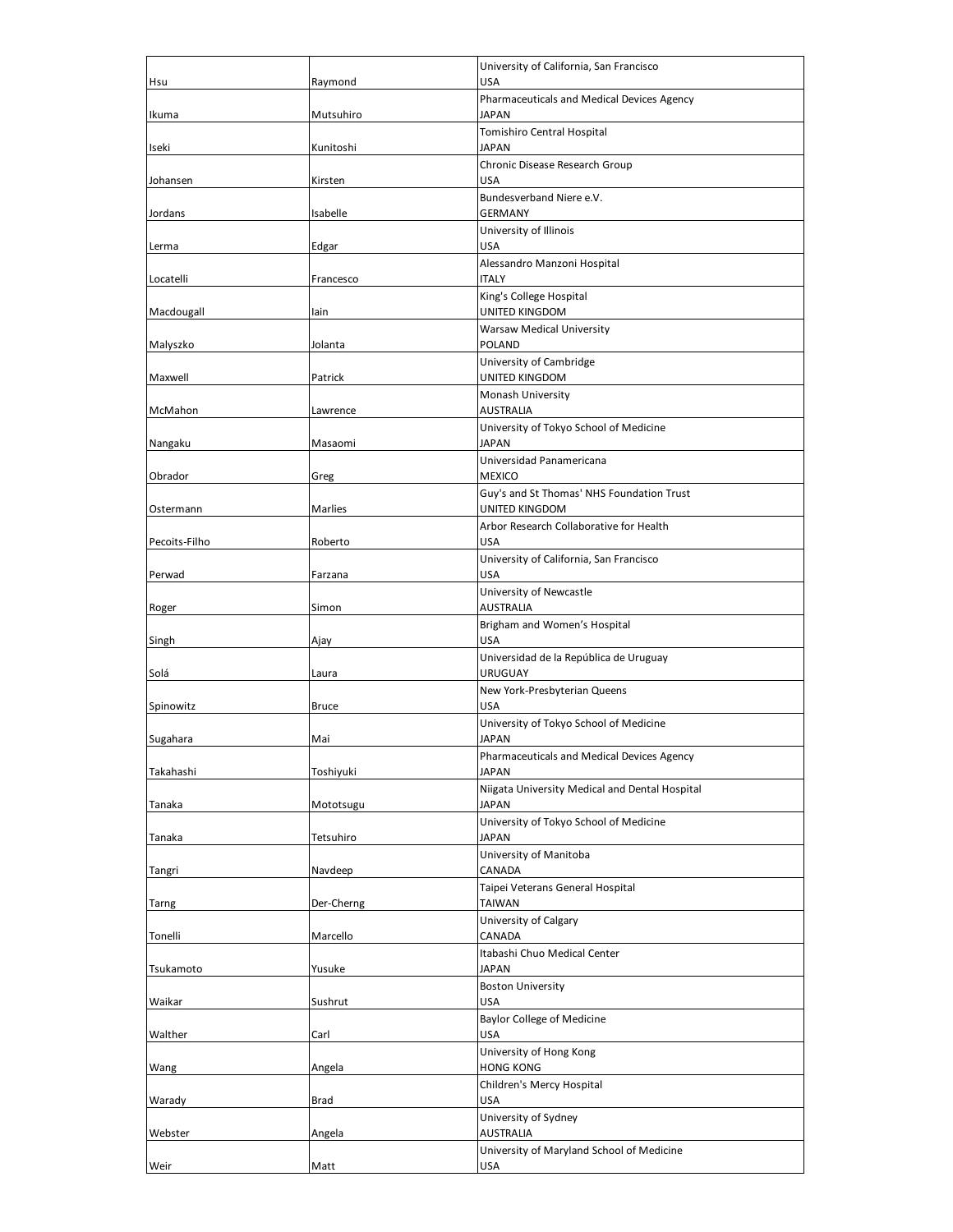| Hsu           | Raymond      | University of California, San Francisco<br><b>USA</b>          |
|---------------|--------------|----------------------------------------------------------------|
| Ikuma         | Mutsuhiro    | Pharmaceuticals and Medical Devices Agency<br><b>JAPAN</b>     |
| Iseki         | Kunitoshi    | Tomishiro Central Hospital<br><b>JAPAN</b>                     |
| Johansen      | Kirsten      | Chronic Disease Research Group<br><b>USA</b>                   |
| Jordans       | Isabelle     | Bundesverband Niere e.V.<br><b>GERMANY</b>                     |
| Lerma         | Edgar        | University of Illinois<br><b>USA</b>                           |
| Locatelli     | Francesco    | Alessandro Manzoni Hospital<br><b>ITALY</b>                    |
| Macdougall    | lain         | King's College Hospital<br>UNITED KINGDOM                      |
| Malyszko      | Jolanta      | <b>Warsaw Medical University</b><br><b>POLAND</b>              |
| Maxwell       | Patrick      | University of Cambridge<br>UNITED KINGDOM                      |
| McMahon       | Lawrence     | Monash University<br><b>AUSTRALIA</b>                          |
| Nangaku       | Masaomi      | University of Tokyo School of Medicine<br><b>JAPAN</b>         |
| Obrador       | Greg         | Universidad Panamericana<br><b>MEXICO</b>                      |
| Ostermann     | Marlies      | Guy's and St Thomas' NHS Foundation Trust<br>UNITED KINGDOM    |
| Pecoits-Filho | Roberto      | Arbor Research Collaborative for Health<br><b>USA</b>          |
| Perwad        | Farzana      | University of California, San Francisco<br><b>USA</b>          |
| Roger         | Simon        | University of Newcastle<br><b>AUSTRALIA</b>                    |
| Singh         | Ajay         | Brigham and Women's Hospital<br><b>USA</b>                     |
| Solá          | Laura        | Universidad de la República de Uruguay<br><b>URUGUAY</b>       |
| Spinowitz     | <b>Bruce</b> | New York-Presbyterian Queens<br><b>USA</b>                     |
| Sugahara      | Mai          | University of Tokyo School of Medicine<br>JAPAN                |
| Takahashi     | Toshiyuki    | Pharmaceuticals and Medical Devices Agency<br><b>JAPAN</b>     |
|               |              | Niigata University Medical and Dental Hospital<br><b>JAPAN</b> |
| Tanaka        | Mototsugu    | University of Tokyo School of Medicine                         |
| Tanaka        | Tetsuhiro    | <b>JAPAN</b><br>University of Manitoba                         |
| Tangri        | Navdeep      | CANADA<br>Taipei Veterans General Hospital                     |
| Tarng         | Der-Cherng   | TAIWAN<br>University of Calgary                                |
| Tonelli       | Marcello     | CANADA<br>Itabashi Chuo Medical Center                         |
| Tsukamoto     | Yusuke       | <b>JAPAN</b><br><b>Boston University</b>                       |
| Waikar        | Sushrut      | <b>USA</b><br><b>Baylor College of Medicine</b>                |
| Walther       | Carl         | <b>USA</b><br>University of Hong Kong                          |
| Wang          | Angela       | <b>HONG KONG</b>                                               |
| Warady        | <b>Brad</b>  | Children's Mercy Hospital<br><b>USA</b>                        |
| Webster       | Angela       | University of Sydney<br><b>AUSTRALIA</b>                       |
| Weir          | Matt         | University of Maryland School of Medicine<br><b>USA</b>        |